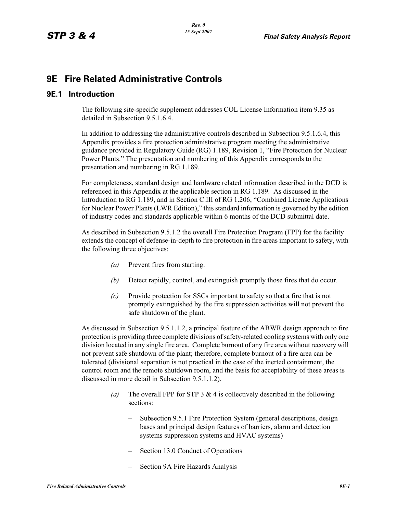# **9E Fire Related Administrative Controls**

# **9E.1 Introduction**

The following site-specific supplement addresses COL License Information item 9.35 as detailed in Subsection 9.5.1.6.4.

In addition to addressing the administrative controls described in Subsection 9.5.1.6.4, this Appendix provides a fire protection administrative program meeting the administrative guidance provided in Regulatory Guide (RG) 1.189, Revision 1, "Fire Protection for Nuclear Power Plants." The presentation and numbering of this Appendix corresponds to the presentation and numbering in RG 1.189.

For completeness, standard design and hardware related information described in the DCD is referenced in this Appendix at the applicable section in RG 1.189. As discussed in the Introduction to RG 1.189, and in Section C.III of RG 1.206, "Combined License Applications for Nuclear Power Plants (LWR Edition)," this standard information is governed by the edition of industry codes and standards applicable within 6 months of the DCD submittal date.

As described in Subsection 9.5.1.2 the overall Fire Protection Program (FPP) for the facility extends the concept of defense-in-depth to fire protection in fire areas important to safety, with the following three objectives:

- *(a)* Prevent fires from starting.
- *(b)* Detect rapidly, control, and extinguish promptly those fires that do occur.
- *(c)* Provide protection for SSCs important to safety so that a fire that is not promptly extinguished by the fire suppression activities will not prevent the safe shutdown of the plant.

As discussed in Subsection 9.5.1.1.2, a principal feature of the ABWR design approach to fire protection is providing three complete divisions of safety-related cooling systems with only one division located in any single fire area. Complete burnout of any fire area without recovery will not prevent safe shutdown of the plant; therefore, complete burnout of a fire area can be tolerated (divisional separation is not practical in the case of the inerted containment, the control room and the remote shutdown room, and the basis for acceptability of these areas is discussed in more detail in Subsection 9.5.1.1.2).

- *(a)* The overall FPP for STP 3 & 4 is collectively described in the following sections:
	- Subsection 9.5.1 Fire Protection System (general descriptions, design bases and principal design features of barriers, alarm and detection systems suppression systems and HVAC systems)
	- Section 13.0 Conduct of Operations
	- Section 9A Fire Hazards Analysis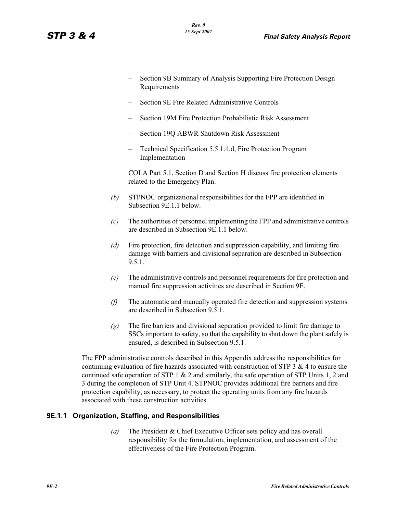- Section 9B Summary of Analysis Supporting Fire Protection Design Requirements
- Section 9E Fire Related Administrative Controls
- Section 19M Fire Protection Probabilistic Risk Assessment
- Section 19Q ABWR Shutdown Risk Assessment
- Technical Specification 5.5.1.1.d, Fire Protection Program Implementation

COLA Part 5.1, Section D and Section H discuss fire protection elements related to the Emergency Plan.

- *(b)* STPNOC organizational responsibilities for the FPP are identified in Subsection 9E.1.1 below.
- *(c)* The authorities of personnel implementing the FPP and administrative controls are described in Subsection 9E.1.1 below.
- *(d)* Fire protection, fire detection and suppression capability, and limiting fire damage with barriers and divisional separation are described in Subsection 9.5.1.
- *(e)* The administrative controls and personnel requirements for fire protection and manual fire suppression activities are described in Section 9E.
- *(f)* The automatic and manually operated fire detection and suppression systems are described in Subsection 9.5.1.
- *(g)* The fire barriers and divisional separation provided to limit fire damage to SSCs important to safety, so that the capability to shut down the plant safely is ensured, is described in Subsection 9.5.1.

The FPP administrative controls described in this Appendix address the responsibilities for continuing evaluation of fire hazards associated with construction of STP  $3 \& 4$  to ensure the continued safe operation of STP 1  $\&$  2 and similarly, the safe operation of STP Units 1, 2 and 3 during the completion of STP Unit 4. STPNOC provides additional fire barriers and fire protection capability, as necessary, to protect the operating units from any fire hazards associated with these construction activities.

# **9E.1.1 Organization, Staffing, and Responsibilities**

*(a)* The President & Chief Executive Officer sets policy and has overall responsibility for the formulation, implementation, and assessment of the effectiveness of the Fire Protection Program.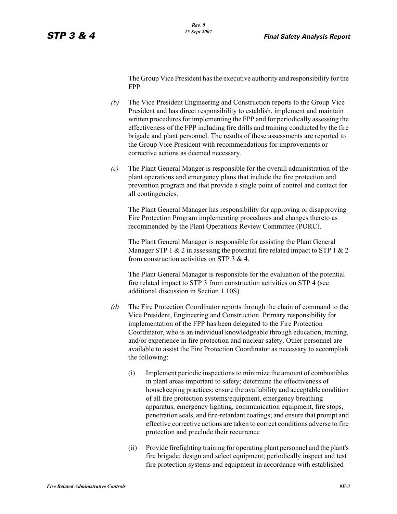The Group Vice President has the executive authority and responsibility for the FPP.

- *(b)* The Vice President Engineering and Construction reports to the Group Vice President and has direct responsibility to establish, implement and maintain written procedures for implementing the FPP and for periodically assessing the effectiveness of the FPP including fire drills and training conducted by the fire brigade and plant personnel. The results of these assessments are reported to the Group Vice President with recommendations for improvements or corrective actions as deemed necessary.
- *(c)* The Plant General Manger is responsible for the overall administration of the plant operations and emergency plans that include the fire protection and prevention program and that provide a single point of control and contact for all contingencies.

The Plant General Manager has responsibility for approving or disapproving Fire Protection Program implementing procedures and changes thereto as recommended by the Plant Operations Review Committee (PORC).

The Plant General Manager is responsible for assisting the Plant General Manager STP 1  $\&$  2 in assessing the potential fire related impact to STP 1  $\&$  2 from construction activities on STP 3 & 4.

The Plant General Manager is responsible for the evaluation of the potential fire related impact to STP 3 from construction activities on STP 4 (see additional discussion in Section 1.10S).

- *(d)* The Fire Protection Coordinator reports through the chain of command to the Vice President, Engineering and Construction. Primary responsibility for implementation of the FPP has been delegated to the Fire Protection Coordinator, who is an individual knowledgeable through education, training, and/or experience in fire protection and nuclear safety. Other personnel are available to assist the Fire Protection Coordinator as necessary to accomplish the following:
	- (i) Implement periodic inspections to minimize the amount of combustibles in plant areas important to safety; determine the effectiveness of housekeeping practices; ensure the availability and acceptable condition of all fire protection systems/equipment, emergency breathing apparatus, emergency lighting, communication equipment, fire stops, penetration seals, and fire-retardant coatings; and ensure that prompt and effective corrective actions are taken to correct conditions adverse to fire protection and preclude their recurrence
	- (ii) Provide firefighting training for operating plant personnel and the plant's fire brigade; design and select equipment; periodically inspect and test fire protection systems and equipment in accordance with established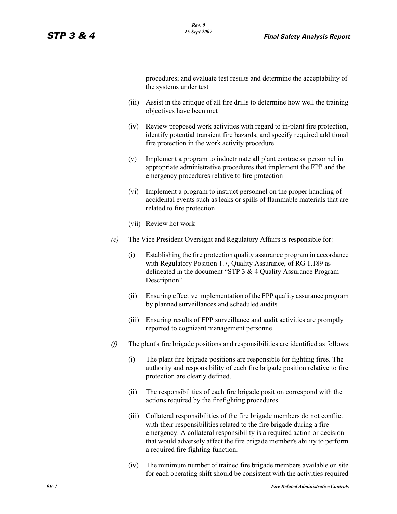procedures; and evaluate test results and determine the acceptability of the systems under test

- (iii) Assist in the critique of all fire drills to determine how well the training objectives have been met
- (iv) Review proposed work activities with regard to in-plant fire protection, identify potential transient fire hazards, and specify required additional fire protection in the work activity procedure
- (v) Implement a program to indoctrinate all plant contractor personnel in appropriate administrative procedures that implement the FPP and the emergency procedures relative to fire protection
- (vi) Implement a program to instruct personnel on the proper handling of accidental events such as leaks or spills of flammable materials that are related to fire protection
- (vii) Review hot work
- *(e)* The Vice President Oversight and Regulatory Affairs is responsible for:
	- (i) Establishing the fire protection quality assurance program in accordance with Regulatory Position 1.7, Quality Assurance, of RG 1.189 as delineated in the document "STP 3 & 4 Quality Assurance Program Description"
	- (ii) Ensuring effective implementation of the FPP quality assurance program by planned surveillances and scheduled audits
	- (iii) Ensuring results of FPP surveillance and audit activities are promptly reported to cognizant management personnel
- *(f)* The plant's fire brigade positions and responsibilities are identified as follows:
	- (i) The plant fire brigade positions are responsible for fighting fires. The authority and responsibility of each fire brigade position relative to fire protection are clearly defined.
	- (ii) The responsibilities of each fire brigade position correspond with the actions required by the firefighting procedures.
	- (iii) Collateral responsibilities of the fire brigade members do not conflict with their responsibilities related to the fire brigade during a fire emergency. A collateral responsibility is a required action or decision that would adversely affect the fire brigade member's ability to perform a required fire fighting function.
	- (iv) The minimum number of trained fire brigade members available on site for each operating shift should be consistent with the activities required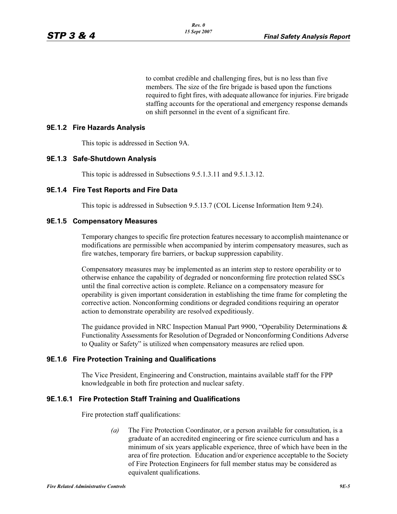to combat credible and challenging fires, but is no less than five members. The size of the fire brigade is based upon the functions required to fight fires, with adequate allowance for injuries. Fire brigade staffing accounts for the operational and emergency response demands on shift personnel in the event of a significant fire.

### **9E.1.2 Fire Hazards Analysis**

This topic is addressed in Section 9A.

# **9E.1.3 Safe-Shutdown Analysis**

This topic is addressed in Subsections 9.5.1.3.11 and 9.5.1.3.12.

### **9E.1.4 Fire Test Reports and Fire Data**

This topic is addressed in Subsection 9.5.13.7 (COL License Information Item 9.24).

### **9E.1.5 Compensatory Measures**

Temporary changes to specific fire protection features necessary to accomplish maintenance or modifications are permissible when accompanied by interim compensatory measures, such as fire watches, temporary fire barriers, or backup suppression capability.

Compensatory measures may be implemented as an interim step to restore operability or to otherwise enhance the capability of degraded or nonconforming fire protection related SSCs until the final corrective action is complete. Reliance on a compensatory measure for operability is given important consideration in establishing the time frame for completing the corrective action. Nonconforming conditions or degraded conditions requiring an operator action to demonstrate operability are resolved expeditiously.

The guidance provided in NRC Inspection Manual Part 9900, "Operability Determinations  $\&$ Functionality Assessments for Resolution of Degraded or Nonconforming Conditions Adverse to Quality or Safety" is utilized when compensatory measures are relied upon.

# **9E.1.6 Fire Protection Training and Qualifications**

The Vice President, Engineering and Construction, maintains available staff for the FPP knowledgeable in both fire protection and nuclear safety.

#### **9E.1.6.1 Fire Protection Staff Training and Qualifications**

Fire protection staff qualifications:

*(a)* The Fire Protection Coordinator, or a person available for consultation, is a graduate of an accredited engineering or fire science curriculum and has a minimum of six years applicable experience, three of which have been in the area of fire protection. Education and/or experience acceptable to the Society of Fire Protection Engineers for full member status may be considered as equivalent qualifications.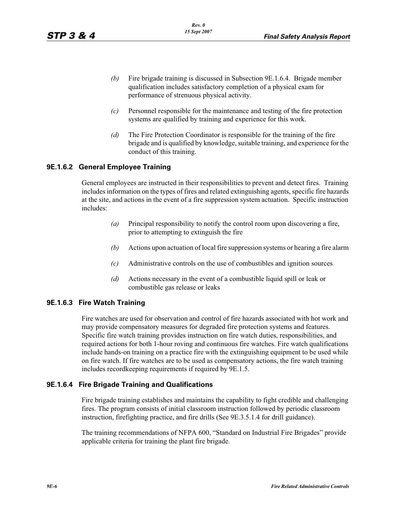- *(b)* Fire brigade training is discussed in Subsection 9E.1.6.4. Brigade member qualification includes satisfactory completion of a physical exam for performance of strenuous physical activity.
- *(c)* Personnel responsible for the maintenance and testing of the fire protection systems are qualified by training and experience for this work.
- *(d)* The Fire Protection Coordinator is responsible for the training of the fire brigade and is qualified by knowledge, suitable training, and experience for the conduct of this training.

# **9E.1.6.2 General Employee Training**

General employees are instructed in their responsibilities to prevent and detect fires. Training includes information on the types of fires and related extinguishing agents, specific fire hazards at the site, and actions in the event of a fire suppression system actuation. Specific instruction includes:

- *(a)* Principal responsibility to notify the control room upon discovering a fire, prior to attempting to extinguish the fire
- *(b)* Actions upon actuation of local fire suppression systems or hearing a fire alarm
- *(c)* Administrative controls on the use of combustibles and ignition sources
- *(d)* Actions necessary in the event of a combustible liquid spill or leak or combustible gas release or leaks

# **9E.1.6.3 Fire Watch Training**

Fire watches are used for observation and control of fire hazards associated with hot work and may provide compensatory measures for degraded fire protection systems and features. Specific fire watch training provides instruction on fire watch duties, responsibilities, and required actions for both 1-hour roving and continuous fire watches. Fire watch qualifications include hands-on training on a practice fire with the extinguishing equipment to be used while on fire watch. If fire watches are to be used as compensatory actions, the fire watch training includes recordkeeping requirements if required by 9E.1.5.

# **9E.1.6.4 Fire Brigade Training and Qualifications**

Fire brigade training establishes and maintains the capability to fight credible and challenging fires. The program consists of initial classroom instruction followed by periodic classroom instruction, firefighting practice, and fire drills (See 9E.3.5.1.4 for drill guidance).

The training recommendations of NFPA 600, "Standard on Industrial Fire Brigades" provide applicable criteria for training the plant fire brigade.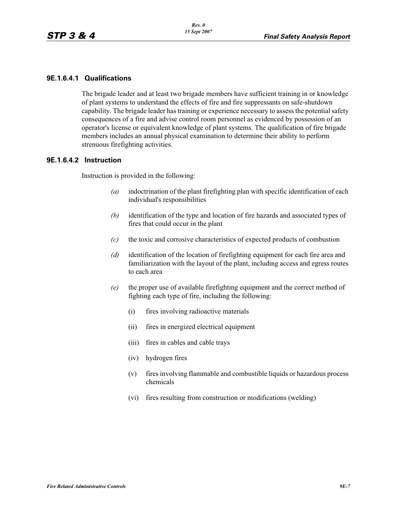# **9E.1.6.4.1 Qualifications**

The brigade leader and at least two brigade members have sufficient training in or knowledge of plant systems to understand the effects of fire and fire suppressants on safe-shutdown capability. The brigade leader has training or experience necessary to assess the potential safety consequences of a fire and advise control room personnel as evidenced by possession of an operator's license or equivalent knowledge of plant systems. The qualification of fire brigade members includes an annual physical examination to determine their ability to perform strenuous firefighting activities.

### **9E.1.6.4.2 Instruction**

Instruction is provided in the following:

- *(a)* indoctrination of the plant firefighting plan with specific identification of each individual's responsibilities
- *(b)* identification of the type and location of fire hazards and associated types of fires that could occur in the plant
- *(c)* the toxic and corrosive characteristics of expected products of combustion
- *(d)* identification of the location of firefighting equipment for each fire area and familiarization with the layout of the plant, including access and egress routes to each area
- *(e)* the proper use of available firefighting equipment and the correct method of fighting each type of fire, including the following:
	- (i) fires involving radioactive materials
	- (ii) fires in energized electrical equipment
	- (iii) fires in cables and cable trays
	- (iv) hydrogen fires
	- (v) fires involving flammable and combustible liquids or hazardous process chemicals
	- (vi) fires resulting from construction or modifications (welding)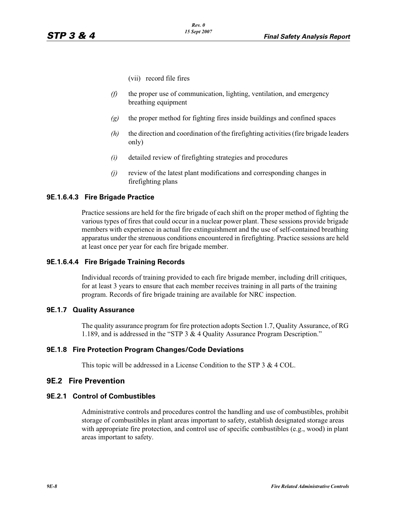- (vii) record file fires
- *(f)* the proper use of communication, lighting, ventilation, and emergency breathing equipment
- *(g)* the proper method for fighting fires inside buildings and confined spaces
- *(h)* the direction and coordination of the firefighting activities (fire brigade leaders only)
- *(i)* detailed review of firefighting strategies and procedures
- *(j)* review of the latest plant modifications and corresponding changes in firefighting plans

### **9E.1.6.4.3 Fire Brigade Practice**

Practice sessions are held for the fire brigade of each shift on the proper method of fighting the various types of fires that could occur in a nuclear power plant. These sessions provide brigade members with experience in actual fire extinguishment and the use of self-contained breathing apparatus under the strenuous conditions encountered in firefighting. Practice sessions are held at least once per year for each fire brigade member.

#### **9E.1.6.4.4 Fire Brigade Training Records**

Individual records of training provided to each fire brigade member, including drill critiques, for at least 3 years to ensure that each member receives training in all parts of the training program. Records of fire brigade training are available for NRC inspection.

### **9E.1.7 Quality Assurance**

The quality assurance program for fire protection adopts Section 1.7, Quality Assurance, of RG 1.189, and is addressed in the "STP 3 & 4 Quality Assurance Program Description."

#### **9E.1.8 Fire Protection Program Changes/Code Deviations**

This topic will be addressed in a License Condition to the STP 3 & 4 COL.

#### **9E.2 Fire Prevention**

#### **9E.2.1 Control of Combustibles**

Administrative controls and procedures control the handling and use of combustibles, prohibit storage of combustibles in plant areas important to safety, establish designated storage areas with appropriate fire protection, and control use of specific combustibles (e.g., wood) in plant areas important to safety.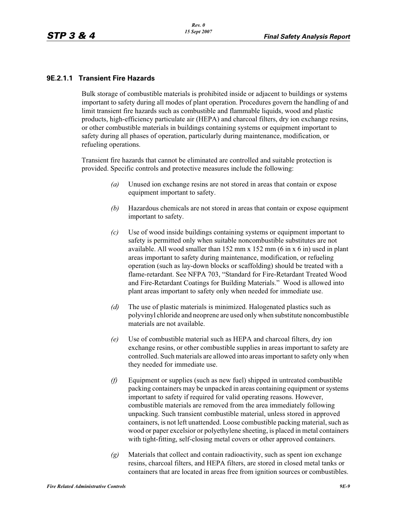# **9E.2.1.1 Transient Fire Hazards**

Bulk storage of combustible materials is prohibited inside or adjacent to buildings or systems important to safety during all modes of plant operation. Procedures govern the handling of and limit transient fire hazards such as combustible and flammable liquids, wood and plastic products, high-efficiency particulate air (HEPA) and charcoal filters, dry ion exchange resins, or other combustible materials in buildings containing systems or equipment important to safety during all phases of operation, particularly during maintenance, modification, or refueling operations.

Transient fire hazards that cannot be eliminated are controlled and suitable protection is provided. Specific controls and protective measures include the following:

- *(a)* Unused ion exchange resins are not stored in areas that contain or expose equipment important to safety.
- *(b)* Hazardous chemicals are not stored in areas that contain or expose equipment important to safety.
- *(c)* Use of wood inside buildings containing systems or equipment important to safety is permitted only when suitable noncombustible substitutes are not available. All wood smaller than  $152 \text{ mm} \times 152 \text{ mm}$  (6 in x 6 in) used in plant areas important to safety during maintenance, modification, or refueling operation (such as lay-down blocks or scaffolding) should be treated with a flame-retardant. See NFPA 703, "Standard for Fire-Retardant Treated Wood and Fire-Retardant Coatings for Building Materials." Wood is allowed into plant areas important to safety only when needed for immediate use.
- *(d)* The use of plastic materials is minimized. Halogenated plastics such as polyvinyl chloride and neoprene are used only when substitute noncombustible materials are not available.
- *(e)* Use of combustible material such as HEPA and charcoal filters, dry ion exchange resins, or other combustible supplies in areas important to safety are controlled. Such materials are allowed into areas important to safety only when they needed for immediate use.
- *(f)* Equipment or supplies (such as new fuel) shipped in untreated combustible packing containers may be unpacked in areas containing equipment or systems important to safety if required for valid operating reasons. However, combustible materials are removed from the area immediately following unpacking. Such transient combustible material, unless stored in approved containers, is not left unattended. Loose combustible packing material, such as wood or paper excelsior or polyethylene sheeting, is placed in metal containers with tight-fitting, self-closing metal covers or other approved containers.
- *(g)* Materials that collect and contain radioactivity, such as spent ion exchange resins, charcoal filters, and HEPA filters, are stored in closed metal tanks or containers that are located in areas free from ignition sources or combustibles.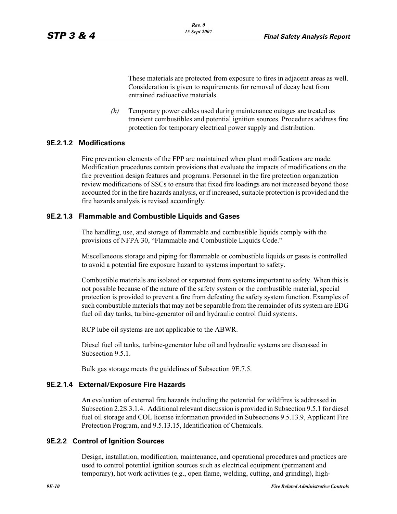These materials are protected from exposure to fires in adjacent areas as well. Consideration is given to requirements for removal of decay heat from entrained radioactive materials.

*(h)* Temporary power cables used during maintenance outages are treated as transient combustibles and potential ignition sources. Procedures address fire protection for temporary electrical power supply and distribution.

# **9E.2.1.2 Modifications**

Fire prevention elements of the FPP are maintained when plant modifications are made. Modification procedures contain provisions that evaluate the impacts of modifications on the fire prevention design features and programs. Personnel in the fire protection organization review modifications of SSCs to ensure that fixed fire loadings are not increased beyond those accounted for in the fire hazards analysis, or if increased, suitable protection is provided and the fire hazards analysis is revised accordingly.

# **9E.2.1.3 Flammable and Combustible Liquids and Gases**

The handling, use, and storage of flammable and combustible liquids comply with the provisions of NFPA 30, "Flammable and Combustible Liquids Code."

Miscellaneous storage and piping for flammable or combustible liquids or gases is controlled to avoid a potential fire exposure hazard to systems important to safety.

Combustible materials are isolated or separated from systems important to safety. When this is not possible because of the nature of the safety system or the combustible material, special protection is provided to prevent a fire from defeating the safety system function. Examples of such combustible materials that may not be separable from the remainder of its system are EDG fuel oil day tanks, turbine-generator oil and hydraulic control fluid systems.

RCP lube oil systems are not applicable to the ABWR.

Diesel fuel oil tanks, turbine-generator lube oil and hydraulic systems are discussed in Subsection 9.5.1.

Bulk gas storage meets the guidelines of Subsection 9E.7.5.

# **9E.2.1.4 External/Exposure Fire Hazards**

An evaluation of external fire hazards including the potential for wildfires is addressed in Subsection 2.2S.3.1.4. Additional relevant discussion is provided in Subsection 9.5.1 for diesel fuel oil storage and COL license information provided in Subsections 9.5.13.9, Applicant Fire Protection Program, and 9.5.13.15, Identification of Chemicals.

# **9E.2.2 Control of Ignition Sources**

Design, installation, modification, maintenance, and operational procedures and practices are used to control potential ignition sources such as electrical equipment (permanent and temporary), hot work activities (e.g., open flame, welding, cutting, and grinding), high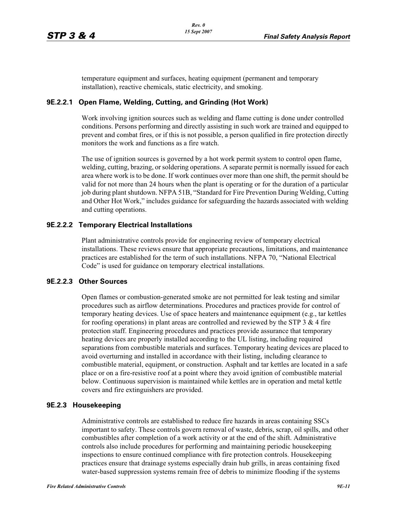temperature equipment and surfaces, heating equipment (permanent and temporary installation), reactive chemicals, static electricity, and smoking.

### **9E.2.2.1 Open Flame, Welding, Cutting, and Grinding (Hot Work)**

Work involving ignition sources such as welding and flame cutting is done under controlled conditions. Persons performing and directly assisting in such work are trained and equipped to prevent and combat fires, or if this is not possible, a person qualified in fire protection directly monitors the work and functions as a fire watch.

The use of ignition sources is governed by a hot work permit system to control open flame, welding, cutting, brazing, or soldering operations. A separate permit is normally issued for each area where work is to be done. If work continues over more than one shift, the permit should be valid for not more than 24 hours when the plant is operating or for the duration of a particular job during plant shutdown. NFPA 51B, "Standard for Fire Prevention During Welding, Cutting and Other Hot Work," includes guidance for safeguarding the hazards associated with welding and cutting operations.

### **9E.2.2.2 Temporary Electrical Installations**

Plant administrative controls provide for engineering review of temporary electrical installations. These reviews ensure that appropriate precautions, limitations, and maintenance practices are established for the term of such installations. NFPA 70, "National Electrical Code" is used for guidance on temporary electrical installations.

### **9E.2.2.3 Other Sources**

Open flames or combustion-generated smoke are not permitted for leak testing and similar procedures such as airflow determinations. Procedures and practices provide for control of temporary heating devices. Use of space heaters and maintenance equipment (e.g., tar kettles for roofing operations) in plant areas are controlled and reviewed by the STP  $3 \& 4$  fire protection staff. Engineering procedures and practices provide assurance that temporary heating devices are properly installed according to the UL listing, including required separations from combustible materials and surfaces. Temporary heating devices are placed to avoid overturning and installed in accordance with their listing, including clearance to combustible material, equipment, or construction. Asphalt and tar kettles are located in a safe place or on a fire-resistive roof at a point where they avoid ignition of combustible material below. Continuous supervision is maintained while kettles are in operation and metal kettle covers and fire extinguishers are provided.

#### **9E.2.3 Housekeeping**

Administrative controls are established to reduce fire hazards in areas containing SSCs important to safety. These controls govern removal of waste, debris, scrap, oil spills, and other combustibles after completion of a work activity or at the end of the shift. Administrative controls also include procedures for performing and maintaining periodic housekeeping inspections to ensure continued compliance with fire protection controls. Housekeeping practices ensure that drainage systems especially drain hub grills, in areas containing fixed water-based suppression systems remain free of debris to minimize flooding if the systems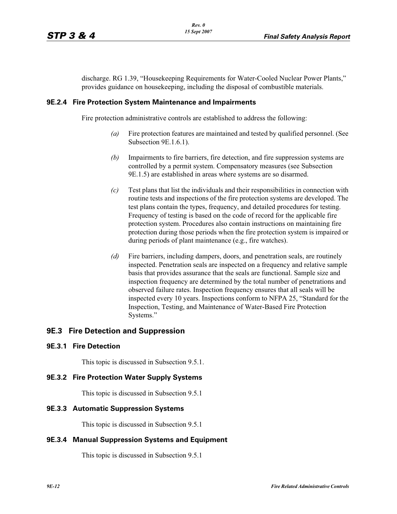discharge. RG 1.39, "Housekeeping Requirements for Water-Cooled Nuclear Power Plants," provides guidance on housekeeping, including the disposal of combustible materials.

# **9E.2.4 Fire Protection System Maintenance and Impairments**

Fire protection administrative controls are established to address the following:

- *(a)* Fire protection features are maintained and tested by qualified personnel. (See Subsection 9E.1.6.1).
- *(b)* Impairments to fire barriers, fire detection, and fire suppression systems are controlled by a permit system. Compensatory measures (see Subsection 9E.1.5) are established in areas where systems are so disarmed.
- *(c)* Test plans that list the individuals and their responsibilities in connection with routine tests and inspections of the fire protection systems are developed. The test plans contain the types, frequency, and detailed procedures for testing. Frequency of testing is based on the code of record for the applicable fire protection system. Procedures also contain instructions on maintaining fire protection during those periods when the fire protection system is impaired or during periods of plant maintenance (e.g., fire watches).
- *(d)* Fire barriers, including dampers, doors, and penetration seals, are routinely inspected. Penetration seals are inspected on a frequency and relative sample basis that provides assurance that the seals are functional. Sample size and inspection frequency are determined by the total number of penetrations and observed failure rates. Inspection frequency ensures that all seals will be inspected every 10 years. Inspections conform to NFPA 25, "Standard for the Inspection, Testing, and Maintenance of Water-Based Fire Protection Systems."

# **9E.3 Fire Detection and Suppression**

# **9E.3.1 Fire Detection**

This topic is discussed in Subsection 9.5.1.

#### **9E.3.2 Fire Protection Water Supply Systems**

This topic is discussed in Subsection 9.5.1

# **9E.3.3 Automatic Suppression Systems**

This topic is discussed in Subsection 9.5.1

#### **9E.3.4 Manual Suppression Systems and Equipment**

This topic is discussed in Subsection 9.5.1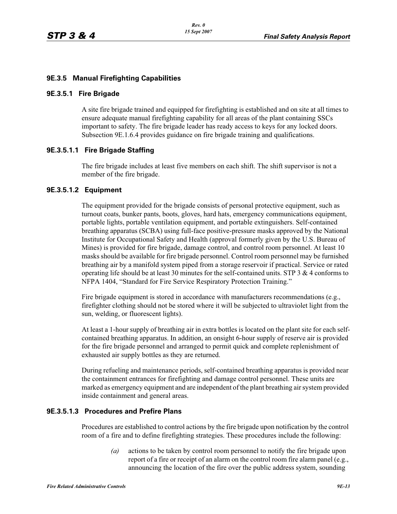# **9E.3.5 Manual Firefighting Capabilities**

### **9E.3.5.1 Fire Brigade**

A site fire brigade trained and equipped for firefighting is established and on site at all times to ensure adequate manual firefighting capability for all areas of the plant containing SSCs important to safety. The fire brigade leader has ready access to keys for any locked doors. Subsection 9E.1.6.4 provides guidance on fire brigade training and qualifications.

# **9E.3.5.1.1 Fire Brigade Staffing**

The fire brigade includes at least five members on each shift. The shift supervisor is not a member of the fire brigade.

# **9E.3.5.1.2 Equipment**

The equipment provided for the brigade consists of personal protective equipment, such as turnout coats, bunker pants, boots, gloves, hard hats, emergency communications equipment, portable lights, portable ventilation equipment, and portable extinguishers. Self-contained breathing apparatus (SCBA) using full-face positive-pressure masks approved by the National Institute for Occupational Safety and Health (approval formerly given by the U.S. Bureau of Mines) is provided for fire brigade, damage control, and control room personnel. At least 10 masks should be available for fire brigade personnel. Control room personnel may be furnished breathing air by a manifold system piped from a storage reservoir if practical. Service or rated operating life should be at least 30 minutes for the self-contained units. STP 3 & 4 conforms to NFPA 1404, "Standard for Fire Service Respiratory Protection Training."

Fire brigade equipment is stored in accordance with manufacturers recommendations (e.g., firefighter clothing should not be stored where it will be subjected to ultraviolet light from the sun, welding, or fluorescent lights).

At least a 1-hour supply of breathing air in extra bottles is located on the plant site for each selfcontained breathing apparatus. In addition, an onsight 6-hour supply of reserve air is provided for the fire brigade personnel and arranged to permit quick and complete replenishment of exhausted air supply bottles as they are returned.

During refueling and maintenance periods, self-contained breathing apparatus is provided near the containment entrances for firefighting and damage control personnel. These units are marked as emergency equipment and are independent of the plant breathing air system provided inside containment and general areas.

# **9E.3.5.1.3 Procedures and Prefire Plans**

Procedures are established to control actions by the fire brigade upon notification by the control room of a fire and to define firefighting strategies. These procedures include the following:

> *(a)* actions to be taken by control room personnel to notify the fire brigade upon report of a fire or receipt of an alarm on the control room fire alarm panel (e.g., announcing the location of the fire over the public address system, sounding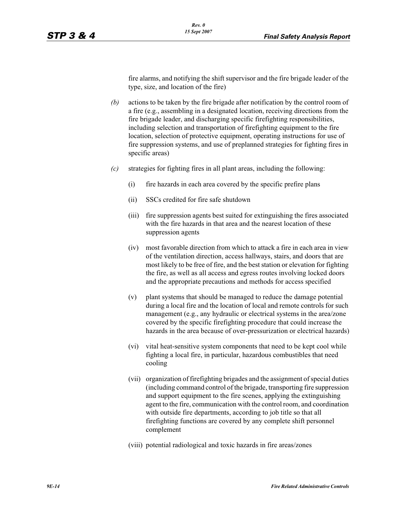fire alarms, and notifying the shift supervisor and the fire brigade leader of the type, size, and location of the fire)

- *(b)* actions to be taken by the fire brigade after notification by the control room of a fire (e.g., assembling in a designated location, receiving directions from the fire brigade leader, and discharging specific firefighting responsibilities, including selection and transportation of firefighting equipment to the fire location, selection of protective equipment, operating instructions for use of fire suppression systems, and use of preplanned strategies for fighting fires in specific areas)
- *(c)* strategies for fighting fires in all plant areas, including the following:
	- (i) fire hazards in each area covered by the specific prefire plans
	- (ii) SSCs credited for fire safe shutdown
	- (iii) fire suppression agents best suited for extinguishing the fires associated with the fire hazards in that area and the nearest location of these suppression agents
	- (iv) most favorable direction from which to attack a fire in each area in view of the ventilation direction, access hallways, stairs, and doors that are most likely to be free of fire, and the best station or elevation for fighting the fire, as well as all access and egress routes involving locked doors and the appropriate precautions and methods for access specified
	- (v) plant systems that should be managed to reduce the damage potential during a local fire and the location of local and remote controls for such management (e.g., any hydraulic or electrical systems in the area/zone covered by the specific firefighting procedure that could increase the hazards in the area because of over-pressurization or electrical hazards)
	- (vi) vital heat-sensitive system components that need to be kept cool while fighting a local fire, in particular, hazardous combustibles that need cooling
	- (vii) organization of firefighting brigades and the assignment of special duties (including command control of the brigade, transporting fire suppression and support equipment to the fire scenes, applying the extinguishing agent to the fire, communication with the control room, and coordination with outside fire departments, according to job title so that all firefighting functions are covered by any complete shift personnel complement
	- (viii) potential radiological and toxic hazards in fire areas/zones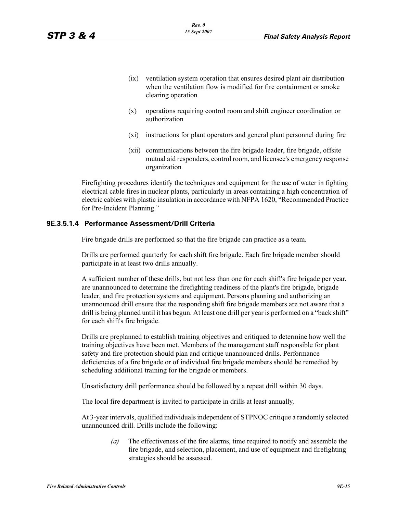- (ix) ventilation system operation that ensures desired plant air distribution when the ventilation flow is modified for fire containment or smoke clearing operation
- (x) operations requiring control room and shift engineer coordination or authorization
- (xi) instructions for plant operators and general plant personnel during fire
- (xii) communications between the fire brigade leader, fire brigade, offsite mutual aid responders, control room, and licensee's emergency response organization

Firefighting procedures identify the techniques and equipment for the use of water in fighting electrical cable fires in nuclear plants, particularly in areas containing a high concentration of electric cables with plastic insulation in accordance with NFPA 1620, "Recommended Practice for Pre-Incident Planning."

# **9E.3.5.1.4 Performance Assessment/Drill Criteria**

Fire brigade drills are performed so that the fire brigade can practice as a team.

Drills are performed quarterly for each shift fire brigade. Each fire brigade member should participate in at least two drills annually.

A sufficient number of these drills, but not less than one for each shift's fire brigade per year, are unannounced to determine the firefighting readiness of the plant's fire brigade, brigade leader, and fire protection systems and equipment. Persons planning and authorizing an unannounced drill ensure that the responding shift fire brigade members are not aware that a drill is being planned until it has begun. At least one drill per year is performed on a "back shift" for each shift's fire brigade.

Drills are preplanned to establish training objectives and critiqued to determine how well the training objectives have been met. Members of the management staff responsible for plant safety and fire protection should plan and critique unannounced drills. Performance deficiencies of a fire brigade or of individual fire brigade members should be remedied by scheduling additional training for the brigade or members.

Unsatisfactory drill performance should be followed by a repeat drill within 30 days.

The local fire department is invited to participate in drills at least annually.

At 3-year intervals, qualified individuals independent of STPNOC critique a randomly selected unannounced drill. Drills include the following:

> *(a)* The effectiveness of the fire alarms, time required to notify and assemble the fire brigade, and selection, placement, and use of equipment and firefighting strategies should be assessed.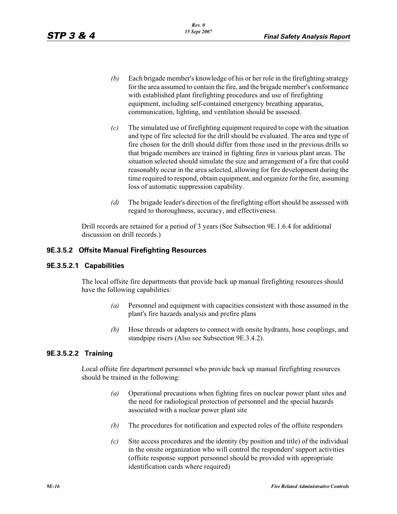- *(b)* Each brigade member's knowledge of his or her role in the firefighting strategy for the area assumed to contain the fire, and the brigade member's conformance with established plant firefighting procedures and use of firefighting equipment, including self-contained emergency breathing apparatus, communication, lighting, and ventilation should be assessed.
- *(c)* The simulated use of firefighting equipment required to cope with the situation and type of fire selected for the drill should be evaluated. The area and type of fire chosen for the drill should differ from those used in the previous drills so that brigade members are trained in fighting fires in various plant areas. The situation selected should simulate the size and arrangement of a fire that could reasonably occur in the area selected, allowing for fire development during the time required to respond, obtain equipment, and organize for the fire, assuming loss of automatic suppression capability.
- *(d)* The brigade leader's direction of the firefighting effort should be assessed with regard to thoroughness, accuracy, and effectiveness.

Drill records are retained for a period of 3 years (See Subsection 9E.1.6.4 for additional discussion on drill records.)

# **9E.3.5.2 Offsite Manual Firefighting Resources**

# **9E.3.5.2.1 Capabilities**

The local offsite fire departments that provide back up manual firefighting resources should have the following capabilities:

- *(a)* Personnel and equipment with capacities consistent with those assumed in the plant's fire hazards analysis and prefire plans
- *(b)* Hose threads or adapters to connect with onsite hydrants, hose couplings, and standpipe risers (Also see Subsection 9E.3.4.2).

# **9E.3.5.2.2 Training**

Local offsite fire department personnel who provide back up manual firefighting resources should be trained in the following:

- *(a)* Operational precautions when fighting fires on nuclear power plant sites and the need for radiological protection of personnel and the special hazards associated with a nuclear power plant site
- *(b)* The procedures for notification and expected roles of the offsite responders
- *(c)* Site access procedures and the identity (by position and title) of the individual in the onsite organization who will control the responders' support activities (offsite response support personnel should be provided with appropriate identification cards where required)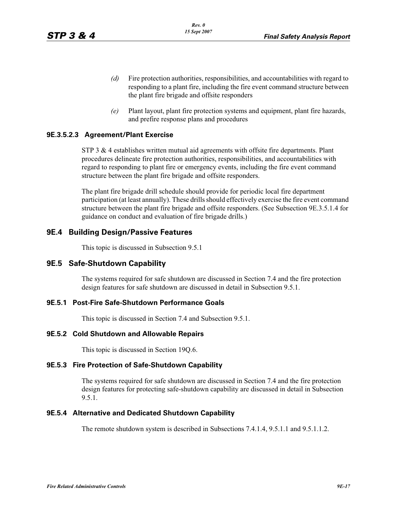- *(d)* Fire protection authorities, responsibilities, and accountabilities with regard to responding to a plant fire, including the fire event command structure between the plant fire brigade and offsite responders
- *(e)* Plant layout, plant fire protection systems and equipment, plant fire hazards, and prefire response plans and procedures

# **9E.3.5.2.3 Agreement/Plant Exercise**

STP 3 & 4 establishes written mutual aid agreements with offsite fire departments. Plant procedures delineate fire protection authorities, responsibilities, and accountabilities with regard to responding to plant fire or emergency events, including the fire event command structure between the plant fire brigade and offsite responders.

The plant fire brigade drill schedule should provide for periodic local fire department participation (at least annually). These drills should effectively exercise the fire event command structure between the plant fire brigade and offsite responders. (See Subsection 9E.3.5.1.4 for guidance on conduct and evaluation of fire brigade drills.)

# **9E.4 Building Design/Passive Features**

This topic is discussed in Subsection 9.5.1

# **9E.5 Safe-Shutdown Capability**

The systems required for safe shutdown are discussed in Section 7.4 and the fire protection design features for safe shutdown are discussed in detail in Subsection 9.5.1.

### **9E.5.1 Post-Fire Safe-Shutdown Performance Goals**

This topic is discussed in Section 7.4 and Subsection 9.5.1.

#### **9E.5.2 Cold Shutdown and Allowable Repairs**

This topic is discussed in Section 19Q.6.

#### **9E.5.3 Fire Protection of Safe-Shutdown Capability**

The systems required for safe shutdown are discussed in Section 7.4 and the fire protection design features for protecting safe-shutdown capability are discussed in detail in Subsection 9.5.1.

#### **9E.5.4 Alternative and Dedicated Shutdown Capability**

The remote shutdown system is described in Subsections 7.4.1.4, 9.5.1.1 and 9.5.1.1.2.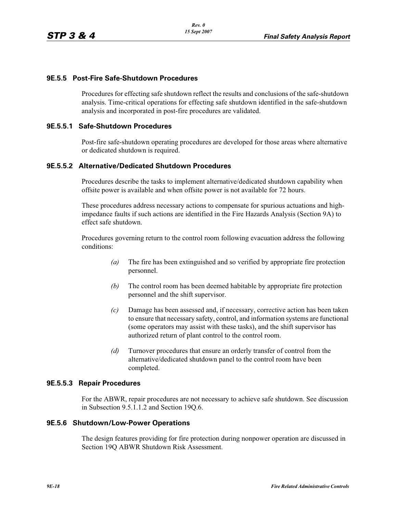# **9E.5.5 Post-Fire Safe-Shutdown Procedures**

Procedures for effecting safe shutdown reflect the results and conclusions of the safe-shutdown analysis. Time-critical operations for effecting safe shutdown identified in the safe-shutdown analysis and incorporated in post-fire procedures are validated.

### **9E.5.5.1 Safe-Shutdown Procedures**

Post-fire safe-shutdown operating procedures are developed for those areas where alternative or dedicated shutdown is required.

### **9E.5.5.2 Alternative/Dedicated Shutdown Procedures**

Procedures describe the tasks to implement alternative/dedicated shutdown capability when offsite power is available and when offsite power is not available for 72 hours.

These procedures address necessary actions to compensate for spurious actuations and highimpedance faults if such actions are identified in the Fire Hazards Analysis (Section 9A) to effect safe shutdown.

Procedures governing return to the control room following evacuation address the following conditions:

- *(a)* The fire has been extinguished and so verified by appropriate fire protection personnel.
- *(b)* The control room has been deemed habitable by appropriate fire protection personnel and the shift supervisor.
- *(c)* Damage has been assessed and, if necessary, corrective action has been taken to ensure that necessary safety, control, and information systems are functional (some operators may assist with these tasks), and the shift supervisor has authorized return of plant control to the control room.
- *(d)* Turnover procedures that ensure an orderly transfer of control from the alternative/dedicated shutdown panel to the control room have been completed.

#### **9E.5.5.3 Repair Procedures**

For the ABWR, repair procedures are not necessary to achieve safe shutdown. See discussion in Subsection 9.5.1.1.2 and Section 19Q.6.

#### **9E.5.6 Shutdown/Low-Power Operations**

The design features providing for fire protection during nonpower operation are discussed in Section 19Q ABWR Shutdown Risk Assessment.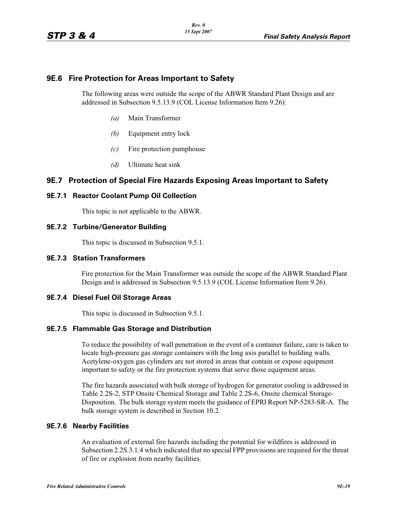# **9E.6 Fire Protection for Areas Important to Safety**

The following areas were outside the scope of the ABWR Standard Plant Design and are addressed in Subsection 9.5.13.9 (COL License Information Item 9.26):

- *(a)* Main Transformer
- *(b)* Equipment entry lock
- *(c)* Fire protection pumphouse
- *(d)* Ultimate heat sink

# **9E.7 Protection of Special Fire Hazards Exposing Areas Important to Safety**

### **9E.7.1 Reactor Coolant Pump Oil Collection**

This topic is not applicable to the ABWR.

# **9E.7.2 Turbine/Generator Building**

This topic is discussed in Subsection 9.5.1.

### **9E.7.3 Station Transformers**

Fire protection for the Main Transformer was outside the scope of the ABWR Standard Plant Design and is addressed in Subsection 9.5.13.9 (COL License Information Item 9.26).

### **9E.7.4 Diesel Fuel Oil Storage Areas**

This topic is discussed in Subsection 9.5.1.

# **9E.7.5 Flammable Gas Storage and Distribution**

To reduce the possibility of wall penetration in the event of a container failure, care is taken to locate high-pressure gas storage containers with the long axis parallel to building walls. Acetylene-oxygen gas cylinders are not stored in areas that contain or expose equipment important to safety or the fire protection systems that serve those equipment areas.

The fire hazards associated with bulk storage of hydrogen for generator cooling is addressed in Table 2.2S-2, STP Onsite Chemical Storage and Table 2.2S-6, Onsite chemical Storage-Disposition. The bulk storage system meets the guidance of EPRI Report NP-5283-SR-A. The bulk storage system is described in Section 10.2.

### **9E.7.6 Nearby Facilities**

An evaluation of external fire hazards including the potential for wildfires is addressed in Subsection 2.2S.3.1.4 which indicated that no special FPP provisions are required for the threat of fire or explosion from nearby facilities.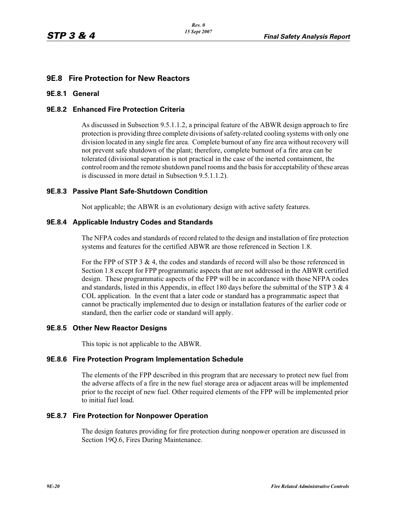# **9E.8 Fire Protection for New Reactors**

# **9E.8.1 General**

# **9E.8.2 Enhanced Fire Protection Criteria**

As discussed in Subsection 9.5.1.1.2, a principal feature of the ABWR design approach to fire protection is providing three complete divisions of safety-related cooling systems with only one division located in any single fire area. Complete burnout of any fire area without recovery will not prevent safe shutdown of the plant; therefore, complete burnout of a fire area can be tolerated (divisional separation is not practical in the case of the inerted containment, the control room and the remote shutdown panel rooms and the basis for acceptability of these areas is discussed in more detail in Subsection 9.5.1.1.2).

# **9E.8.3 Passive Plant Safe-Shutdown Condition**

Not applicable; the ABWR is an evolutionary design with active safety features.

# **9E.8.4 Applicable Industry Codes and Standards**

The NFPA codes and standards of record related to the design and installation of fire protection systems and features for the certified ABWR are those referenced in Section 1.8.

For the FPP of STP 3  $\&$  4, the codes and standards of record will also be those referenced in Section 1.8 except for FPP programmatic aspects that are not addressed in the ABWR certified design. These programmatic aspects of the FPP will be in accordance with those NFPA codes and standards, listed in this Appendix, in effect 180 days before the submittal of the STP  $3 \& 4$ COL application. In the event that a later code or standard has a programmatic aspect that cannot be practically implemented due to design or installation features of the earlier code or standard, then the earlier code or standard will apply.

# **9E.8.5 Other New Reactor Designs**

This topic is not applicable to the ABWR.

# **9E.8.6 Fire Protection Program Implementation Schedule**

The elements of the FPP described in this program that are necessary to protect new fuel from the adverse affects of a fire in the new fuel storage area or adjacent areas will be implemented prior to the receipt of new fuel. Other required elements of the FPP will be implemented prior to initial fuel load.

# **9E.8.7 Fire Protection for Nonpower Operation**

The design features providing for fire protection during nonpower operation are discussed in Section 19Q.6, Fires During Maintenance.